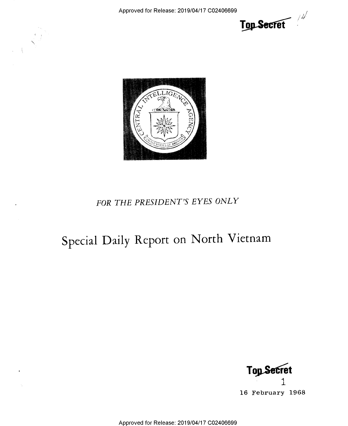Approved for Release: 2019/04/17 C02406699





## FOR THE PRESIDENT'S EYES ONLY

# Special Daily Report on North Vietnam

**Top Secret** 

16 February 1968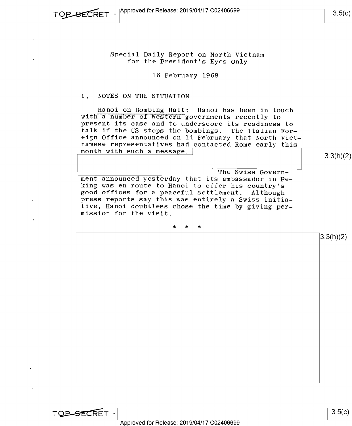Special Daily Report on North Vietnam for the President's Eyes Only

16 February 1968

### I. NOTES ON THE SITUATION

Hanoi on Bombing Halt: Hanoi has been in touch<br>with a number of Western governments recently to<br>present its case and to underscore its readiness to<br>talk if the US stops the bombings. The Italian For-<br>eign Office announced month with such a message.  $\lceil$ 

3.3(h)(2)

ment announced yesterday that its ambassador in Peking was en route to Hanoi to offer his country's good offices for a peaceful settlement. Although press reports say this was entirely a Swiss initiative, Hanoi doubtless chose the time by giving per- mission for the visit.

\* \* \*

 $3.3(h)(2)$ 

TOP-SECRET -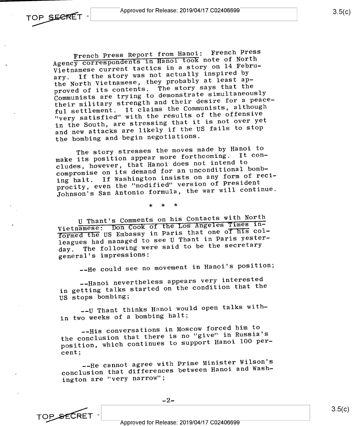French Press Report from Hanoi: French Press Agency correspondents in Hanoi took note of North Vietnamese current tactics in a story on 14 Febru-<br>ary. If the story was not actually inspired by If the story was not actually inspired by the North Vietnamese, they probably at least approved of its contents. The story says that the Communists are trying to demonstrate simultaneously their military strength and their desire for a peaceful settlement. It claims the Communists, although "very satisfied" with the results of the offensive in the South, are stressing that it is not over yet and new attacks are likely if the US fails to stop the bombing and begin negotiations.

The story stresses the moves made by Hanoi to make its position appear more forthcoming. It concludes, however, that Hanoi does not intend to compromise on its demand for an unconditional bombing halt. If Washington insists on any form of reciprocity, even the "modified" version of President Johnson's San Antonio formula, the war will continue.

\* \* \*

U Thant's Comments on his Contacts with North Vietnamese: Don Cook of the Los Angeles Times informed the US Embassy in Paris that one of his colleagues had managed to see U Thant in Paris yesterday. The following were said to be the secretary general's impressions:

--He could see no movement in Hanoi's position;

--Hanoi nevertheless appears very interested in getting talks started on the condition that the US stops bombing;

--U Thant thinks Hanoi would open talks within two weeks of a bombing halt;

--His conversations in Moscow forced him to the conclusion that there is no "give" in Russia's position, which continues to support Hanoi 100 percent;

--He cannot agree with Prime Minister Wilson's conclusion that differences between Hanoi and Washington are "very narrow";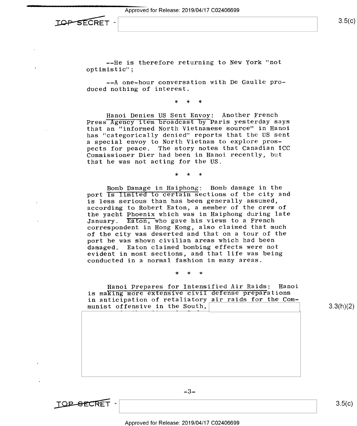Approved for Release: 2019/04/17 C02406699



--He is therefore returning to New York "not optimistic";

-—A one-hour conversation with De Gaulle produced nothing of interest.

\* \* \*

Hanoi Denies US Sent Envoy: Another French Press Agency item broadcast by Paris yesterday says that an "informed North Vietnamese source" in Hanoi has "categorically denied" reports that the US sent a special envoy to North Vietnam to explore prospects for peace. The story notes that Canadian ICC Commissioner Dier had been in Hanoi recently, but that he was not acting for the US,

\* \* \*

Bomb Damage in Haiphong; Bomb damage in the port is limited to certain sections of the city and is less serious than has been generally assumed, according to Robert Eaton, a member of the crew of the yacht Phoenix which was in Haiphong during late January. Eaton, who gave his views to a French correspondent in Hong Kong, also claimed that much of the city was deserted and that on a tour of the port he was shown civilian areas which had been damaged. Eaton claimed bombing effects were not evident in most sections, and that life was being conducted in a normal fashion in many areas.

\* \* \*

Hanoi Prepares for Intensified Air Raids: Hanoi is making more extensive civil defense preparations in anticipation of retaliatory air raids for the Communist offensive in the South,  $3.3(h)(2)$ 

-3-

TOP-SECRET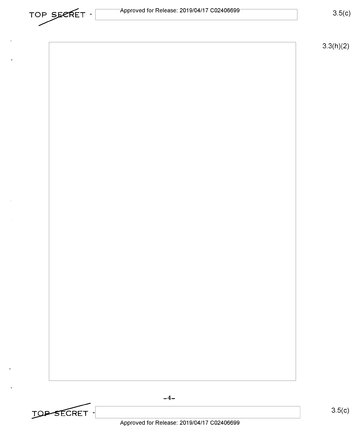

 $3.3(h)(2)$ 

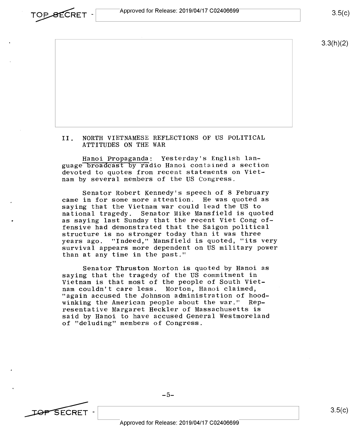

 $3.3(h)(2)$ 

#### II. NORTH VIETNAMESE REFLECTIONS OF US POLITICAL ATTITUDES ON THE WAR

Hanoi Propaganda; Yesterday's English language broadcast by radio Hanoi contained a section devoted to quotes from recent statements on Vietnam by several members of the US Congress.

Senator Robert Kennedy's speech of 8 February came in for some more attention. He was quoted as saying that the Vietnam war could lead the US to national tragedy. Senator Mike Mansfield is quoted as saying last Sunday that the recent Viet Cong offensive had demonstrated that the Saigon political structure is no stronger today than it was three years ago. "Indeed," Mansfield is quoted, "its very survival appears more dependent on US military power than at any time in the past."

Senator Thruston Morton is quoted by Hanoi as saying that the tragedy of the US commitment in Vietnam is that most of the people of South Viet-<br>nam couldn't care less. Morton, Hanoi claimed, "again accused the Johnson administration of hoodwinking the American people about the war." Representative Margaret Heckler of Massachusetts is said by Hanoi to have accused General Westmoreland of "deluding" members of Congress.

 $-5-$